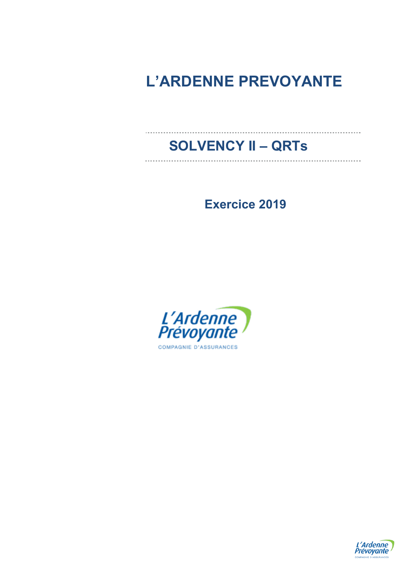# **L'ARDENNE PREVOYANTE**

# **SOLVENCY II – QRTs**

**Exercice 2019** 



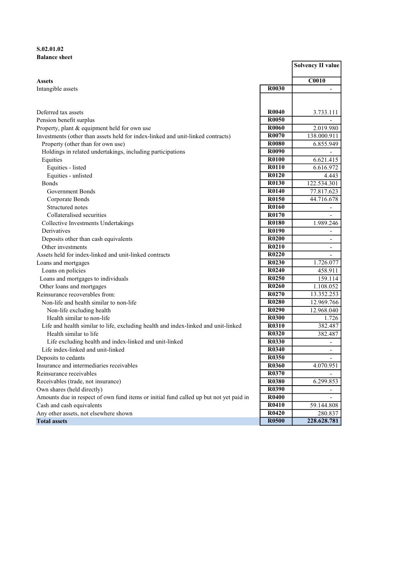## S.02.01.02 Balance sheet

|                                                                                        |                                | <b>Solvency II value</b>     |
|----------------------------------------------------------------------------------------|--------------------------------|------------------------------|
| <b>Assets</b>                                                                          |                                | <b>C0010</b>                 |
| Intangible assets                                                                      | R0030                          | $\overline{\phantom{0}}$     |
|                                                                                        |                                |                              |
| Deferred tax assets                                                                    | R <sub>0040</sub>              | 3.733.111                    |
| Pension benefit surplus                                                                | R0050                          |                              |
| Property, plant & equipment held for own use                                           | <b>R0060</b>                   | 2.019.980                    |
| Investments (other than assets held for index-linked and unit-linked contracts)        | R0070                          | 138.000.911                  |
| Property (other than for own use)                                                      | R0080                          | 6.855.949                    |
| Holdings in related undertakings, including participations                             | R0090                          | $\overline{\phantom{0}}$     |
| Equities                                                                               | <b>R0100</b>                   | 6.621.415                    |
| Equities - listed                                                                      | R0110                          | 6.616.972                    |
| Equities - unlisted                                                                    | R0120                          | 4.443                        |
| <b>Bonds</b>                                                                           | R0130                          | 122.534.301                  |
| Government Bonds                                                                       | R0140                          | 77.817.623                   |
| Corporate Bonds                                                                        | R0150                          | 44.716.678                   |
| Structured notes                                                                       | R0160                          | $\overline{\phantom{m}}$     |
| Collateralised securities                                                              | R0170                          |                              |
| Collective Investments Undertakings                                                    | R0180                          | 1.989.246                    |
| Derivatives                                                                            | R0190                          | $\frac{1}{2}$                |
| Deposits other than cash equivalents                                                   | <b>R0200</b>                   | $\qquad \qquad \blacksquare$ |
| Other investments                                                                      | R0210                          | $\overline{\phantom{0}}$     |
| Assets held for index-linked and unit-linked contracts                                 | R0220                          | $\overline{\phantom{0}}$     |
| Loans and mortgages                                                                    | R <sub>0</sub> 23 <sub>0</sub> | 1.726.077                    |
| Loans on policies                                                                      | R <sub>0</sub> 24 <sub>0</sub> | 458.911                      |
| Loans and mortgages to individuals                                                     | R <sub>0250</sub>              | 159.114                      |
| Other loans and mortgages                                                              | R0260                          | 1.108.052                    |
| Reinsurance recoverables from:                                                         | R0270                          | 13.352.253                   |
| Non-life and health similar to non-life                                                | R0280                          | 12.969.766                   |
| Non-life excluding health                                                              | R <sub>0290</sub>              | 12.968.040                   |
| Health similar to non-life                                                             | <b>R0300</b>                   | 1.726                        |
| Life and health similar to life, excluding health and index-linked and unit-linked     | <b>R0310</b>                   | 382.487                      |
| Health similar to life                                                                 | <b>R0320</b>                   | 382.487                      |
| Life excluding health and index-linked and unit-linked                                 | <b>R0330</b>                   | $\overline{\phantom{a}}$     |
| Life index-linked and unit-linked                                                      | R0340                          | $\overline{\phantom{a}}$     |
| Deposits to cedants                                                                    | <b>R0350</b>                   | $\overline{\phantom{a}}$     |
| Insurance and intermediaries receivables                                               | <b>R0360</b>                   | 4.070.951                    |
| Reinsurance receivables                                                                | R0370                          | $\overline{\phantom{0}}$     |
| Receivables (trade, not insurance)                                                     | <b>R0380</b>                   | 6.299.853                    |
| Own shares (held directly)                                                             | R0390                          |                              |
| Amounts due in respect of own fund items or initial fund called up but not yet paid in | <b>R0400</b>                   |                              |
| Cash and cash equivalents                                                              | R0410                          | 59.144.808                   |
| Any other assets, not elsewhere shown                                                  | <b>R0420</b>                   | 280.837                      |
| <b>Total assets</b>                                                                    | <b>R0500</b>                   | 228.628.781                  |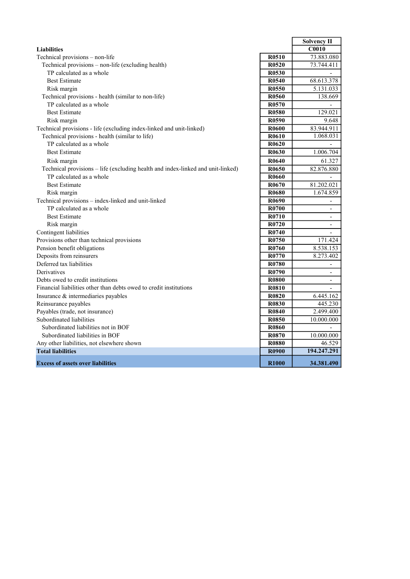|                                                                                 |                   | Solvency II              |
|---------------------------------------------------------------------------------|-------------------|--------------------------|
| <b>Liabilities</b>                                                              |                   | $\overline{C0010}$       |
| Technical provisions - non-life                                                 | <b>R0510</b>      | 73.883.080               |
| Technical provisions - non-life (excluding health)                              | R <sub>0520</sub> | 73.744.411               |
| TP calculated as a whole                                                        | R <sub>0530</sub> |                          |
| <b>Best Estimate</b>                                                            | R0540             | 68.613.378               |
| Risk margin                                                                     | R <sub>0550</sub> | 5.131.033                |
| Technical provisions - health (similar to non-life)                             | R0560             | 138.669                  |
| TP calculated as a whole                                                        | R0570             |                          |
| <b>Best Estimate</b>                                                            | R <sub>0580</sub> | 129.021                  |
| Risk margin                                                                     | R0590             | 9.648                    |
| Technical provisions - life (excluding index-linked and unit-linked)            | <b>R0600</b>      | 83.944.911               |
| Technical provisions - health (similar to life)                                 | R0610             | 1.068.031                |
| TP calculated as a whole                                                        | R <sub>0620</sub> |                          |
| <b>Best Estimate</b>                                                            | R0630             | 1.006.704                |
| Risk margin                                                                     | R0640             | 61.327                   |
| Technical provisions - life (excluding health and index-linked and unit-linked) | R0650             | 82.876.880               |
| TP calculated as a whole                                                        | <b>R0660</b>      |                          |
| <b>Best Estimate</b>                                                            | R0670             | 81.202.021               |
| Risk margin                                                                     | <b>R0680</b>      | 1.674.859                |
| Technical provisions - index-linked and unit-linked                             | R0690             | $\overline{\phantom{a}}$ |
| TP calculated as a whole                                                        | R0700             | $\overline{\phantom{a}}$ |
| <b>Best Estimate</b>                                                            | R0710             | $\overline{a}$           |
| Risk margin                                                                     | R0720             | $\overline{\phantom{a}}$ |
| Contingent liabilities                                                          | R0740             | $\overline{\phantom{0}}$ |
| Provisions other than technical provisions                                      | R <sub>0750</sub> | 171.424                  |
| Pension benefit obligations                                                     | R0760             | 8.538.153                |
| Deposits from reinsurers                                                        | R0770             | 8.273.402                |
| Deferred tax liabilities                                                        | R0780             | $\overline{\phantom{a}}$ |
| Derivatives                                                                     | R0790             | $\overline{\phantom{a}}$ |
| Debts owed to credit institutions                                               | <b>R0800</b>      | $\overline{\phantom{a}}$ |
| Financial liabilities other than debts owed to credit institutions              | <b>R0810</b>      | $\overline{a}$           |
| Insurance & intermediaries payables                                             | <b>R0820</b>      | 6.445.162                |
| Reinsurance payables                                                            | <b>R0830</b>      | 445.230                  |
| Payables (trade, not insurance)                                                 | R0840             | 2.499.400                |
| Subordinated liabilities                                                        | <b>R0850</b>      | 10.000.000               |
| Subordinated liabilities not in BOF                                             | <b>R0860</b>      | $\overline{a}$           |
| Subordinated liabilities in BOF                                                 | R0870             | 10.000.000               |
| Any other liabilities, not elsewhere shown                                      | <b>R0880</b>      | 46.529                   |
| <b>Total liabilities</b>                                                        | <b>R0900</b>      | 194.247.291              |
| <b>Excess of assets over liabilities</b>                                        | R <sub>1000</sub> | 34.381.490               |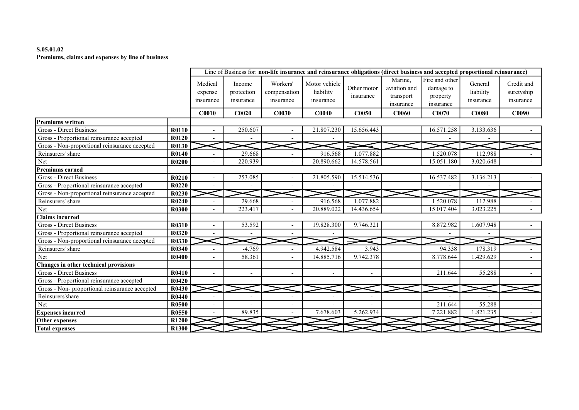## S.05.01.02 Premiums, claims and expenses by line of business

|                                                |              |                                 |                                   |                                       | Line of Business for: non-life insurance and reinsurance obligations (direct business and accepted proportional reinsurance) |                          |                                                   |                                                      |                                   |                                       |
|------------------------------------------------|--------------|---------------------------------|-----------------------------------|---------------------------------------|------------------------------------------------------------------------------------------------------------------------------|--------------------------|---------------------------------------------------|------------------------------------------------------|-----------------------------------|---------------------------------------|
|                                                |              | Medical<br>expense<br>insurance | Income<br>protection<br>insurance | Workers'<br>compensation<br>insurance | Motor vehicle<br>liability<br>insurance                                                                                      | Other motor<br>insurance | Marine.<br>aviation and<br>transport<br>insurance | Fire and other<br>damage to<br>property<br>insurance | General<br>liability<br>insurance | Credit and<br>suretyship<br>insurance |
|                                                |              | <b>C0010</b>                    | C0020                             | <b>C0030</b>                          | C0040                                                                                                                        | <b>C0050</b>             | <b>C0060</b>                                      | C0070                                                | <b>C0080</b>                      | C0090                                 |
| Premiums written                               |              |                                 |                                   |                                       |                                                                                                                              |                          |                                                   |                                                      |                                   |                                       |
| <b>Gross - Direct Business</b>                 | <b>R0110</b> | $\overline{\phantom{a}}$        | 250.607                           |                                       | 21.807.230                                                                                                                   | 15.656.443               |                                                   | 16.571.258                                           | 3.133.636                         |                                       |
| Gross - Proportional reinsurance accepted      | R0120        |                                 |                                   |                                       |                                                                                                                              |                          |                                                   |                                                      |                                   |                                       |
| Gross - Non-proportional reinsurance accepted  | R0130        |                                 |                                   |                                       |                                                                                                                              |                          |                                                   |                                                      |                                   |                                       |
| Reinsurers' share                              | R0140        |                                 | 29.668                            |                                       | 916.568                                                                                                                      | 1.077.882                |                                                   | 1.520.078                                            | 112.988                           |                                       |
| Net                                            | <b>R0200</b> |                                 | 220.939                           |                                       | 20.890.662                                                                                                                   | 14.578.561               |                                                   | 15.051.180                                           | 3.020.648                         |                                       |
| <b>Premiums earned</b>                         |              |                                 |                                   |                                       |                                                                                                                              |                          |                                                   |                                                      |                                   |                                       |
| Gross - Direct Business                        | R0210        | $\overline{\phantom{a}}$        | 253.085                           |                                       | 21.805.590                                                                                                                   | 15.514.536               |                                                   | 16.537.482                                           | 3.136.213                         |                                       |
| Gross - Proportional reinsurance accepted      | R0220        |                                 |                                   |                                       |                                                                                                                              |                          |                                                   |                                                      |                                   |                                       |
| Gross - Non-proportional reinsurance accepted  | R0230        |                                 |                                   |                                       |                                                                                                                              |                          |                                                   |                                                      |                                   |                                       |
| Reinsurers' share                              | R0240        |                                 | 29.668                            |                                       | 916.568                                                                                                                      | 1.077.882                |                                                   | 1.520.078                                            | 112.988                           |                                       |
| Net                                            | R0300        |                                 | 223.417                           |                                       | 20.889.022                                                                                                                   | 14.436.654               |                                                   | 15.017.404                                           | 3.023.225                         |                                       |
| <b>Claims incurred</b>                         |              |                                 |                                   |                                       |                                                                                                                              |                          |                                                   |                                                      |                                   |                                       |
| Gross - Direct Business                        | R0310        | $\blacksquare$                  | 53.592                            |                                       | 19.828.300                                                                                                                   | 9.746.321                |                                                   | 8.872.982                                            | 1.607.948                         |                                       |
| Gross - Proportional reinsurance accepted      | <b>R0320</b> |                                 |                                   |                                       |                                                                                                                              |                          |                                                   |                                                      |                                   |                                       |
| Gross - Non-proportional reinsurance accepted  | R0330        |                                 |                                   |                                       |                                                                                                                              |                          |                                                   |                                                      |                                   |                                       |
| Reinsurers' share                              | <b>R0340</b> | $\overline{a}$                  | $-4.769$                          |                                       | 4.942.584                                                                                                                    | 3.943                    |                                                   | 94.338                                               | 178.319                           |                                       |
| Net                                            | R0400        |                                 | 58.361                            | $\overline{a}$                        | 14.885.716                                                                                                                   | 9.742.378                |                                                   | 8.778.644                                            | 1.429.629                         |                                       |
| Changes in other technical provisions          |              |                                 |                                   |                                       |                                                                                                                              |                          |                                                   |                                                      |                                   |                                       |
| <b>Gross - Direct Business</b>                 | R0410        |                                 | $\overline{\phantom{a}}$          | $\qquad \qquad \blacksquare$          | $\overline{\phantom{a}}$                                                                                                     |                          |                                                   | 211.644                                              | 55.288                            |                                       |
| Gross - Proportional reinsurance accepted      | R0420        | $\sim$                          | $\overline{\phantom{0}}$          |                                       |                                                                                                                              |                          |                                                   |                                                      |                                   |                                       |
| Gross - Non- proportional reinsurance accepted | R0430        |                                 |                                   |                                       |                                                                                                                              |                          |                                                   |                                                      |                                   |                                       |
| Reinsurers'share                               | <b>R0440</b> | $\overline{a}$                  |                                   |                                       |                                                                                                                              |                          |                                                   |                                                      |                                   |                                       |
| Net                                            | <b>R0500</b> |                                 |                                   |                                       |                                                                                                                              |                          |                                                   | 211.644                                              | 55.288                            |                                       |
| <b>Expenses incurred</b>                       | <b>R0550</b> |                                 | 89.835                            |                                       | 7.678.603                                                                                                                    | 5.262.934                |                                                   | 7.221.882                                            | 1.821.235                         |                                       |
| Other expenses                                 | R1200        |                                 |                                   |                                       |                                                                                                                              |                          |                                                   |                                                      |                                   |                                       |
| <b>Total expenses</b>                          | <b>R1300</b> |                                 |                                   |                                       |                                                                                                                              |                          |                                                   |                                                      |                                   |                                       |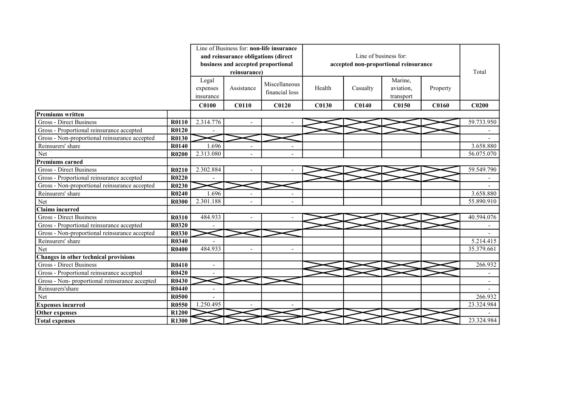|                                                |                   |                          |                                     | Line of Business for: non-life insurance |              |                       |                                       |              |                          |
|------------------------------------------------|-------------------|--------------------------|-------------------------------------|------------------------------------------|--------------|-----------------------|---------------------------------------|--------------|--------------------------|
|                                                |                   |                          | and reinsurance obligations (direct |                                          |              | Line of business for: |                                       |              |                          |
|                                                |                   |                          | business and accepted proportional  |                                          |              |                       | accepted non-proportional reinsurance |              |                          |
|                                                |                   |                          | reinsurance)                        |                                          |              |                       |                                       |              | Total                    |
|                                                |                   | Legal                    |                                     |                                          |              |                       | Marine,                               |              |                          |
|                                                |                   | expenses                 | Assistance                          | Miscellaneous                            | Health       | Casualty              | aviation,                             | Property     |                          |
|                                                |                   | insurance                |                                     | financial loss                           |              |                       | transport                             |              |                          |
|                                                |                   | <b>C0100</b>             | <b>C0110</b>                        | C <sub>0120</sub>                        | <b>C0130</b> | <b>C0140</b>          | C0150                                 | <b>C0160</b> | C <sub>0200</sub>        |
| <b>Premiums written</b>                        |                   |                          |                                     |                                          |              |                       |                                       |              |                          |
| <b>Gross - Direct Business</b>                 | R0110             | 2.314.776                |                                     |                                          |              |                       |                                       |              | 59.733.950               |
| Gross - Proportional reinsurance accepted      | R0120             |                          |                                     |                                          |              |                       |                                       |              |                          |
| Gross - Non-proportional reinsurance accepted  | R0130             |                          |                                     |                                          |              |                       |                                       |              |                          |
| Reinsurers' share                              | R0140             | 1.696                    | $\overline{\phantom{a}}$            |                                          |              |                       |                                       |              | 3.658.880                |
| Net                                            | <b>R0200</b>      | 2.313.080                |                                     |                                          |              |                       |                                       |              | 56.075.070               |
| <b>Premiums earned</b>                         |                   |                          |                                     |                                          |              |                       |                                       |              |                          |
| Gross - Direct Business                        | R0210             | 2.302.884                |                                     |                                          |              |                       |                                       |              | 59.549.790               |
| Gross - Proportional reinsurance accepted      | R0220             |                          |                                     |                                          |              |                       |                                       |              |                          |
| Gross - Non-proportional reinsurance accepted  | R0230             |                          |                                     |                                          |              |                       |                                       |              |                          |
| Reinsurers' share                              | R0240             | 1.696                    |                                     |                                          |              |                       |                                       |              | 3.658.880                |
| Net                                            | R0300             | 2.301.188                |                                     |                                          |              |                       |                                       |              | 55.890.910               |
| Claims incurred                                |                   |                          |                                     |                                          |              |                       |                                       |              |                          |
| <b>Gross - Direct Business</b>                 | R0310             | 484.933                  |                                     |                                          |              |                       |                                       |              | 40.594.076               |
| Gross - Proportional reinsurance accepted      | R0320             |                          |                                     |                                          |              |                       |                                       |              |                          |
| Gross - Non-proportional reinsurance accepted  | R0330             |                          |                                     |                                          |              |                       |                                       |              |                          |
| Reinsurers' share                              | R0340             |                          |                                     |                                          |              |                       |                                       |              | 5.214.415                |
| Net                                            | R0400             | 484.933                  |                                     | $\overline{a}$                           |              |                       |                                       |              | 35.379.661               |
| Changes in other technical provisions          |                   |                          |                                     |                                          |              |                       |                                       |              |                          |
| <b>Gross - Direct Business</b>                 | R0410             | $\overline{a}$           |                                     |                                          |              |                       |                                       |              | 266.932                  |
| Gross - Proportional reinsurance accepted      | R0420             |                          |                                     |                                          |              |                       |                                       |              |                          |
| Gross - Non- proportional reinsurance accepted | R0430             |                          |                                     |                                          |              |                       |                                       |              | $\overline{\phantom{a}}$ |
| Reinsurers'share                               | R0440             | $\overline{\phantom{0}}$ |                                     |                                          |              |                       |                                       |              |                          |
| Net                                            | <b>R0500</b>      |                          |                                     |                                          |              |                       |                                       |              | 266.932                  |
| <b>Expenses incurred</b>                       | R0550             | 1.250.495                |                                     |                                          |              |                       |                                       |              | 23.324.984               |
| Other expenses                                 | R <sub>1200</sub> |                          |                                     |                                          |              |                       |                                       |              |                          |
| <b>Total expenses</b>                          | R1300             |                          |                                     |                                          |              |                       |                                       |              | 23.324.984               |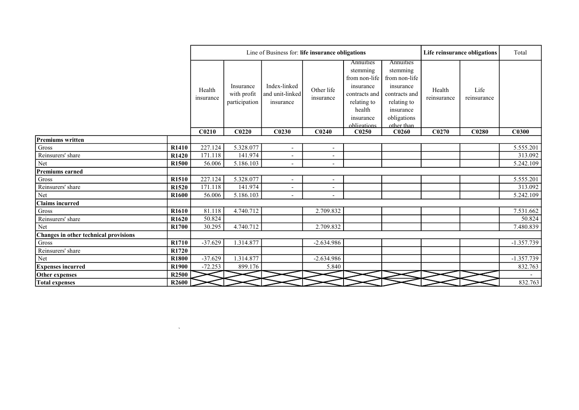|                                       |                   |                     |                                           | Line of Business for: life insurance obligations |                          |                                                                                                                           |                                                                                                                               | Life reinsurance obligations | Total               |              |
|---------------------------------------|-------------------|---------------------|-------------------------------------------|--------------------------------------------------|--------------------------|---------------------------------------------------------------------------------------------------------------------------|-------------------------------------------------------------------------------------------------------------------------------|------------------------------|---------------------|--------------|
|                                       |                   | Health<br>insurance | Insurance<br>with profit<br>participation | Index-linked<br>and unit-linked<br>insurance     | Other life<br>insurance  | Annuities<br>stemming<br>from non-life<br>insurance<br>contracts and<br>relating to<br>health<br>insurance<br>obligations | Annuities<br>stemming<br>from non-life<br>insurance<br>contracts and<br>relating to<br>insurance<br>obligations<br>other than | Health<br>reinsurance        | Life<br>reinsurance |              |
|                                       |                   | C <sub>0210</sub>   | C <sub>0220</sub>                         | C <sub>0230</sub>                                | C <sub>0240</sub>        | C <sub>0250</sub>                                                                                                         | C <sub>0260</sub>                                                                                                             | C <sub>0270</sub>            | C <sub>0280</sub>   | C0300        |
| Premiums written                      |                   |                     |                                           |                                                  |                          |                                                                                                                           |                                                                                                                               |                              |                     |              |
| $\rm Gross$                           | R1410             | 227.124             | 5.328.077                                 | $\overline{\phantom{a}}$                         | $\overline{\phantom{a}}$ |                                                                                                                           |                                                                                                                               |                              |                     | 5.555.201    |
| Reinsurers' share                     | R <sub>1420</sub> | 171.118             | 141.974                                   | $\overline{\phantom{a}}$                         | $\overline{\phantom{a}}$ |                                                                                                                           |                                                                                                                               |                              |                     | 313.092      |
| Net                                   | R1500             | 56.006              | 5.186.103                                 | $\overline{\phantom{a}}$                         | $\overline{\phantom{a}}$ |                                                                                                                           |                                                                                                                               |                              |                     | 5.242.109    |
| <b>Premiums earned</b>                |                   |                     |                                           |                                                  |                          |                                                                                                                           |                                                                                                                               |                              |                     |              |
| Gross                                 | R1510             | 227.124             | 5.328.077                                 | $\sim$                                           | $\overline{\phantom{a}}$ |                                                                                                                           |                                                                                                                               |                              |                     | 5.555.201    |
| Reinsurers' share                     | R1520             | 171.118             | 141.974                                   | $\overline{\phantom{a}}$                         | $\overline{\phantom{a}}$ |                                                                                                                           |                                                                                                                               |                              |                     | 313.092      |
| Net                                   | R1600             | 56.006              | 5.186.103                                 |                                                  | $\overline{\phantom{a}}$ |                                                                                                                           |                                                                                                                               |                              |                     | 5.242.109    |
| <b>Claims incurred</b>                |                   |                     |                                           |                                                  |                          |                                                                                                                           |                                                                                                                               |                              |                     |              |
| Gross                                 | R <sub>1610</sub> | 81.118              | 4.740.712                                 |                                                  | 2.709.832                |                                                                                                                           |                                                                                                                               |                              |                     | 7.531.662    |
| Reinsurers' share                     | R1620             | 50.824              |                                           |                                                  |                          |                                                                                                                           |                                                                                                                               |                              |                     | 50.824       |
| Net                                   | R1700             | 30.295              | 4.740.712                                 |                                                  | 2.709.832                |                                                                                                                           |                                                                                                                               |                              |                     | 7.480.839    |
| Changes in other technical provisions |                   |                     |                                           |                                                  |                          |                                                                                                                           |                                                                                                                               |                              |                     |              |
| Gross                                 | R1710             | $-37.629$           | 1.314.877                                 |                                                  | $-2.634.986$             |                                                                                                                           |                                                                                                                               |                              |                     | $-1.357.739$ |
| Reinsurers' share                     | R1720             |                     |                                           |                                                  |                          |                                                                                                                           |                                                                                                                               |                              |                     |              |
| Net                                   | R1800             | $-37.629$           | 1.314.877                                 |                                                  | $-2.634.986$             |                                                                                                                           |                                                                                                                               |                              |                     | $-1.357.739$ |
| <b>Expenses incurred</b>              | R1900             | $-72.253$           | 899.176                                   |                                                  | 5.840                    |                                                                                                                           |                                                                                                                               |                              |                     | 832.763      |
| Other expenses                        | R <sub>2500</sub> |                     |                                           |                                                  |                          |                                                                                                                           |                                                                                                                               |                              |                     |              |
| <b>Total expenses</b>                 | <b>R2600</b>      |                     |                                           |                                                  |                          |                                                                                                                           |                                                                                                                               |                              |                     | 832.763      |

 $\label{eq:1.1} \sum_{i=1}^n \frac{1}{i!} \sum_{j=1}^n \frac{1}{j!} \sum_{j=1}^n \frac{1}{j!} \sum_{j=1}^n \frac{1}{j!} \sum_{j=1}^n \frac{1}{j!} \sum_{j=1}^n \frac{1}{j!} \sum_{j=1}^n \frac{1}{j!} \sum_{j=1}^n \frac{1}{j!} \sum_{j=1}^n \frac{1}{j!} \sum_{j=1}^n \frac{1}{j!} \sum_{j=1}^n \frac{1}{j!} \sum_{j=1}^n \frac{1}{j!} \sum_{j=1}$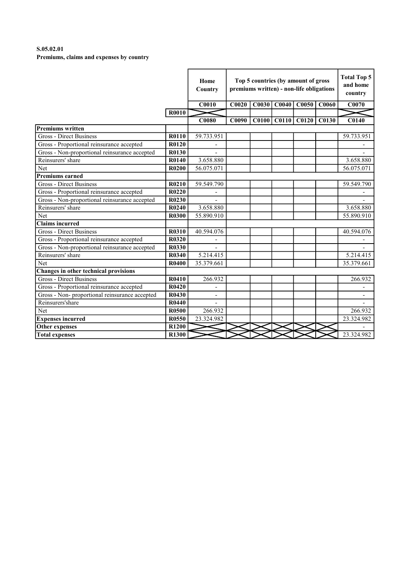# S.05.02.01 Premiums, claims and expenses by country

|                                                |              | Home<br>Country |              | Top 5 countries (by amount of gross<br>premiums written) - non-life obligations |                   |                         |                   |                          |  |
|------------------------------------------------|--------------|-----------------|--------------|---------------------------------------------------------------------------------|-------------------|-------------------------|-------------------|--------------------------|--|
|                                                |              | <b>C0010</b>    | C0020        | C0030                                                                           | CO <sub>040</sub> | C0050                   | C <sub>0060</sub> | C0070                    |  |
|                                                | <b>R0010</b> |                 |              |                                                                                 |                   |                         |                   |                          |  |
|                                                |              | <b>C0080</b>    | <b>C0090</b> |                                                                                 |                   | $C0100$ $C0110$ $C0120$ | <b>C0130</b>      | <b>C0140</b>             |  |
| <b>Premiums written</b>                        |              |                 |              |                                                                                 |                   |                         |                   |                          |  |
| Gross - Direct Business                        | R0110        | 59.733.951      |              |                                                                                 |                   |                         |                   | 59.733.951               |  |
| Gross - Proportional reinsurance accepted      | R0120        |                 |              |                                                                                 |                   |                         |                   |                          |  |
| Gross - Non-proportional reinsurance accepted  | R0130        |                 |              |                                                                                 |                   |                         |                   |                          |  |
| Reinsurers' share                              | R0140        | 3.658.880       |              |                                                                                 |                   |                         |                   | 3.658.880                |  |
| Net                                            | R0200        | 56.075.071      |              |                                                                                 |                   |                         |                   | 56.075.071               |  |
| <b>Premiums earned</b>                         |              |                 |              |                                                                                 |                   |                         |                   |                          |  |
| <b>Gross - Direct Business</b>                 | R0210        | 59.549.790      |              |                                                                                 |                   |                         |                   | 59.549.790               |  |
| Gross - Proportional reinsurance accepted      | R0220        |                 |              |                                                                                 |                   |                         |                   |                          |  |
| Gross - Non-proportional reinsurance accepted  | R0230        |                 |              |                                                                                 |                   |                         |                   |                          |  |
| Reinsurers' share                              | R0240        | 3.658.880       |              |                                                                                 |                   |                         |                   | 3.658.880                |  |
| Net                                            | <b>R0300</b> | 55.890.910      |              |                                                                                 |                   |                         |                   | 55.890.910               |  |
| <b>Claims incurred</b>                         |              |                 |              |                                                                                 |                   |                         |                   |                          |  |
| Gross - Direct Business                        | R0310        | 40.594.076      |              |                                                                                 |                   |                         |                   | 40.594.076               |  |
| Gross - Proportional reinsurance accepted      | <b>R0320</b> |                 |              |                                                                                 |                   |                         |                   |                          |  |
| Gross - Non-proportional reinsurance accepted  | <b>R0330</b> |                 |              |                                                                                 |                   |                         |                   |                          |  |
| Reinsurers' share                              | <b>R0340</b> | 5.214.415       |              |                                                                                 |                   |                         |                   | 5.214.415                |  |
| Net                                            | <b>R0400</b> | 35.379.661      |              |                                                                                 |                   |                         |                   | 35.379.661               |  |
| Changes in other technical provisions          |              |                 |              |                                                                                 |                   |                         |                   |                          |  |
| <b>Gross - Direct Business</b>                 | R0410        | 266.932         |              |                                                                                 |                   |                         |                   | 266.932                  |  |
| Gross - Proportional reinsurance accepted      | R0420        |                 |              |                                                                                 |                   |                         |                   |                          |  |
| Gross - Non- proportional reinsurance accepted | R0430        |                 |              |                                                                                 |                   |                         |                   | $\overline{\phantom{a}}$ |  |
| Reinsurers'share                               | R0440        |                 |              |                                                                                 |                   |                         |                   |                          |  |
| Net                                            | <b>R0500</b> | 266.932         |              |                                                                                 |                   |                         |                   | 266.932                  |  |
| <b>Expenses incurred</b>                       | R0550        | 23.324.982      |              |                                                                                 |                   |                         |                   | 23.324.982               |  |
| <b>Other expenses</b>                          | R1200        |                 |              |                                                                                 |                   |                         |                   |                          |  |
| <b>Total expenses</b>                          | <b>R1300</b> |                 |              |                                                                                 |                   |                         |                   | 23.324.982               |  |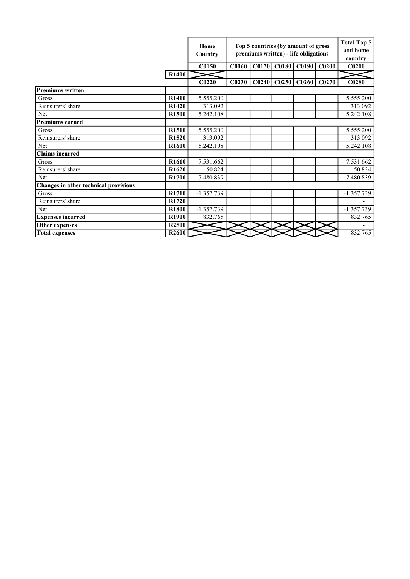|                                       |                   | Home<br>Country   |                   | Top 5 countries (by amount of gross<br>premiums written) - life obligations |                   |                         |       |                   |  |  |
|---------------------------------------|-------------------|-------------------|-------------------|-----------------------------------------------------------------------------|-------------------|-------------------------|-------|-------------------|--|--|
|                                       |                   | C0150             | <b>C0160</b>      |                                                                             |                   | C0170 C0180 C0190 C0200 |       | C <sub>0210</sub> |  |  |
|                                       | <b>R1400</b>      |                   |                   |                                                                             |                   |                         |       |                   |  |  |
|                                       |                   | C <sub>0220</sub> | C <sub>0230</sub> | C <sub>0240</sub>                                                           | CO <sub>250</sub> | C <sub>0260</sub>       | C0270 | C0280             |  |  |
| <b>Premiums written</b>               |                   |                   |                   |                                                                             |                   |                         |       |                   |  |  |
| Gross                                 | R1410             | 5.555.200         |                   |                                                                             |                   |                         |       | 5.555.200         |  |  |
| Reinsurers' share                     | R1420             | 313.092           |                   |                                                                             |                   |                         |       | 313.092           |  |  |
| Net                                   | R1500             | 5.242.108         |                   |                                                                             |                   |                         |       | 5.242.108         |  |  |
| <b>Premiums earned</b>                |                   |                   |                   |                                                                             |                   |                         |       |                   |  |  |
| Gross                                 | R1510             | 5.555.200         |                   |                                                                             |                   |                         |       | 5.555.200         |  |  |
| Reinsurers' share                     | R1520             | 313.092           |                   |                                                                             |                   |                         |       | 313.092           |  |  |
| Net                                   | R <sub>1600</sub> | 5.242.108         |                   |                                                                             |                   |                         |       | 5.242.108         |  |  |
| <b>Claims</b> incurred                |                   |                   |                   |                                                                             |                   |                         |       |                   |  |  |
| Gross                                 | R <sub>1610</sub> | 7.531.662         |                   |                                                                             |                   |                         |       | 7.531.662         |  |  |
| Reinsurers' share                     | R <sub>1620</sub> | 50.824            |                   |                                                                             |                   |                         |       | 50.824            |  |  |
| Net                                   | R <sub>1700</sub> | 7.480.839         |                   |                                                                             |                   |                         |       | 7.480.839         |  |  |
| Changes in other technical provisions |                   |                   |                   |                                                                             |                   |                         |       |                   |  |  |
| <b>Gross</b>                          | R <sub>1710</sub> | $-1.357.739$      |                   |                                                                             |                   |                         |       | $-1.357.739$      |  |  |
| Reinsurers' share                     | R <sub>1720</sub> |                   |                   |                                                                             |                   |                         |       |                   |  |  |
| Net                                   | R1800             | $-1.357.739$      |                   |                                                                             |                   |                         |       | $-1.357.739$      |  |  |
| <b>Expenses incurred</b>              | R1900             | 832.765           |                   |                                                                             |                   |                         |       | 832.765           |  |  |
| Other expenses                        | R <sub>2500</sub> |                   |                   |                                                                             |                   |                         |       |                   |  |  |
| <b>Total expenses</b>                 | R <sub>2600</sub> |                   |                   |                                                                             |                   |                         |       | 832.765           |  |  |

`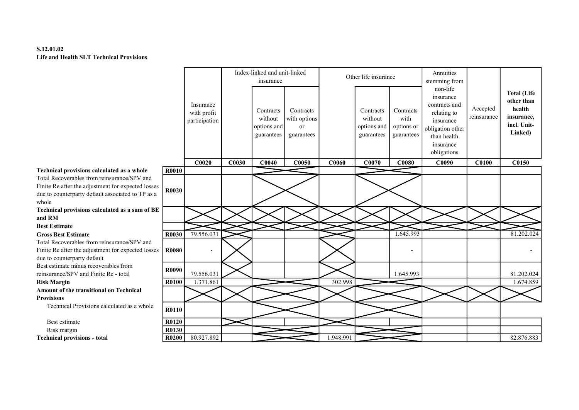# S.12.01.02 Life and Health SLT Technical Provisions

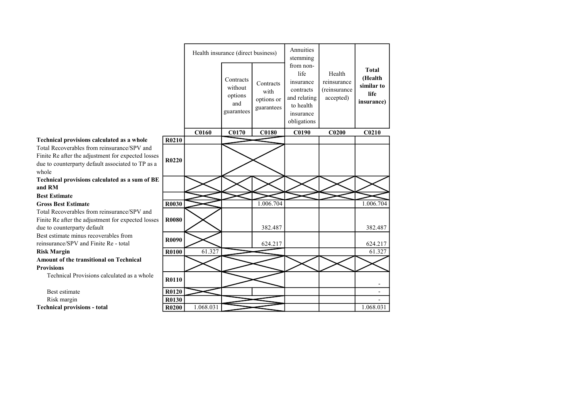|                                                                                                                                                                 |              |           | Health insurance (direct business)                   |                                               | Annuities<br>stemming                                                                                |                                                    |                                                             |
|-----------------------------------------------------------------------------------------------------------------------------------------------------------------|--------------|-----------|------------------------------------------------------|-----------------------------------------------|------------------------------------------------------------------------------------------------------|----------------------------------------------------|-------------------------------------------------------------|
|                                                                                                                                                                 |              |           | Contracts<br>without<br>options<br>and<br>guarantees | Contracts<br>with<br>options or<br>guarantees | from non-<br>life<br>insurance<br>contracts<br>and relating<br>to health<br>insurance<br>obligations | Health<br>reinsurance<br>(reinsurance<br>accepted) | <b>Total</b><br>(Health<br>similar to<br>life<br>insurance) |
|                                                                                                                                                                 |              | C0160     | C0170                                                | <b>C0180</b>                                  | C0190                                                                                                | C <sub>0200</sub>                                  | C <sub>0210</sub>                                           |
| Technical provisions calculated as a whole                                                                                                                      | R0210        |           |                                                      |                                               |                                                                                                      |                                                    |                                                             |
| Total Recoverables from reinsurance/SPV and<br>Finite Re after the adjustment for expected losses<br>due to counterparty default associated to TP as a<br>whole | R0220        |           |                                                      |                                               |                                                                                                      |                                                    |                                                             |
| Technical provisions calculated as a sum of BE                                                                                                                  |              |           |                                                      |                                               |                                                                                                      |                                                    |                                                             |
| and RM                                                                                                                                                          |              |           |                                                      |                                               |                                                                                                      |                                                    |                                                             |
| <b>Best Estimate</b>                                                                                                                                            |              |           |                                                      |                                               |                                                                                                      |                                                    |                                                             |
| <b>Gross Best Estimate</b>                                                                                                                                      | R0030        |           |                                                      | 1.006.704                                     |                                                                                                      |                                                    | 1.006.704                                                   |
| Total Recoverables from reinsurance/SPV and<br>Finite Re after the adjustment for expected losses                                                               | <b>R0080</b> |           |                                                      |                                               |                                                                                                      |                                                    |                                                             |
| due to counterparty default                                                                                                                                     |              |           |                                                      | 382.487                                       |                                                                                                      |                                                    | 382.487                                                     |
| Best estimate minus recoverables from<br>reinsurance/SPV and Finite Re - total                                                                                  | R0090        |           |                                                      | 624.217                                       |                                                                                                      |                                                    | 624.217                                                     |
| <b>Risk Margin</b>                                                                                                                                              | <b>R0100</b> | 61.327    |                                                      |                                               |                                                                                                      |                                                    | 61.327                                                      |
| Amount of the transitional on Technical                                                                                                                         |              |           |                                                      |                                               |                                                                                                      |                                                    |                                                             |
| <b>Provisions</b>                                                                                                                                               |              |           |                                                      |                                               |                                                                                                      |                                                    |                                                             |
| Technical Provisions calculated as a whole                                                                                                                      | <b>R0110</b> |           |                                                      |                                               |                                                                                                      |                                                    |                                                             |
| Best estimate                                                                                                                                                   | R0120        |           |                                                      |                                               |                                                                                                      |                                                    | $\overline{\phantom{a}}$                                    |
| Risk margin                                                                                                                                                     | R0130        |           |                                                      |                                               |                                                                                                      |                                                    |                                                             |
| <b>Technical provisions - total</b>                                                                                                                             | <b>R0200</b> | 1.068.031 |                                                      |                                               |                                                                                                      |                                                    | 1.068.031                                                   |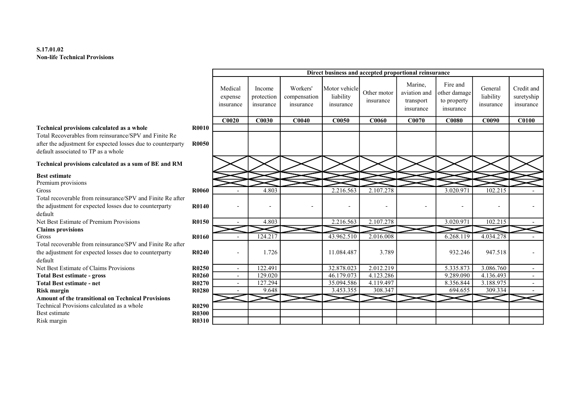# S.17.01.02 Non-life Technical Provisions

|                                                                                                                                                                                                                   |                       |                                 |                                   |                                       |                                         |                          | Direct business and accepted proportional reinsurance |                                                      |                                   |                                       |
|-------------------------------------------------------------------------------------------------------------------------------------------------------------------------------------------------------------------|-----------------------|---------------------------------|-----------------------------------|---------------------------------------|-----------------------------------------|--------------------------|-------------------------------------------------------|------------------------------------------------------|-----------------------------------|---------------------------------------|
|                                                                                                                                                                                                                   |                       | Medical<br>expense<br>insurance | Income<br>protection<br>insurance | Workers'<br>compensation<br>insurance | Motor vehicle<br>liability<br>insurance | Other motor<br>insurance | Marine,<br>aviation and<br>transport<br>insurance     | Fire and<br>other damage<br>to property<br>insurance | General<br>liability<br>insurance | Credit and<br>suretyship<br>insurance |
|                                                                                                                                                                                                                   |                       | C0020                           | C0030                             | C0040                                 | <b>C0050</b>                            | <b>C0060</b>             | C0070                                                 | <b>C0080</b>                                         | C0090                             | <b>C0100</b>                          |
| <b>Technical provisions calculated as a whole</b><br>Total Recoverables from reinsurance/SPV and Finite Re<br>after the adjustment for expected losses due to counterparty<br>default associated to TP as a whole | <b>R0010</b><br>R0050 |                                 |                                   |                                       |                                         |                          |                                                       |                                                      |                                   |                                       |
| Technical provisions calculated as a sum of BE and RM                                                                                                                                                             |                       |                                 |                                   |                                       |                                         |                          |                                                       |                                                      |                                   |                                       |
| <b>Best estimate</b><br>Premium provisions<br>Gross<br>Total recoverable from reinsurance/SPV and Finite Re after                                                                                                 | <b>R0060</b>          |                                 | 4.803                             |                                       | 2.216.563                               | 2.107.278                |                                                       | 3.020.97                                             | 102.215                           |                                       |
| the adjustment for expected losses due to counterparty<br>default                                                                                                                                                 | R0140                 |                                 | $\overline{\phantom{a}}$          | ۰                                     | $\overline{a}$                          |                          | $\overline{\phantom{a}}$                              |                                                      |                                   |                                       |
| Net Best Estimate of Premium Provisions<br><b>Claims</b> provisions                                                                                                                                               | R0150                 |                                 | 4.803                             |                                       | 2.216.563                               | 2.107.278                |                                                       | 3.020.971                                            | 102.215                           |                                       |
| Gross<br>Total recoverable from reinsurance/SPV and Finite Re after                                                                                                                                               | <b>R0160</b>          |                                 | 124.217                           |                                       | 43.962.510                              | 2.016.008                |                                                       | 6.268.119                                            | 4.034.278                         |                                       |
| the adjustment for expected losses due to counterparty<br>default                                                                                                                                                 | R0240                 |                                 | 1.726                             |                                       | 11.084.487                              | 3.789                    |                                                       | 932.246                                              | 947.518                           |                                       |
| Net Best Estimate of Claims Provisions                                                                                                                                                                            | R0250                 | $\sim$                          | 122.491                           |                                       | 32.878.023                              | 2.012.219                |                                                       | 5.335.873                                            | 3.086.760                         | $\sim$                                |
| <b>Total Best estimate - gross</b>                                                                                                                                                                                | R0260                 | $\sim$                          | 129.020                           |                                       | 46.179.073                              | 4.123.286                |                                                       | 9.289.090                                            | 4.136.493                         | $\sim$                                |
| <b>Total Best estimate - net</b>                                                                                                                                                                                  | R0270                 | $\sim$                          | 127.294                           |                                       | 35.094.586                              | 4.119.497                |                                                       | 8.356.844                                            | 3.188.975                         | $\overline{\phantom{a}}$              |
| <b>Risk margin</b>                                                                                                                                                                                                | R0280                 |                                 | 9.648                             |                                       | 3.453.355                               | 308.347                  |                                                       | 694.655                                              | 309.334                           |                                       |
| <b>Amount of the transitional on Technical Provisions</b>                                                                                                                                                         |                       |                                 |                                   |                                       |                                         |                          |                                                       |                                                      |                                   |                                       |
| Technical Provisions calculated as a whole                                                                                                                                                                        | R0290                 |                                 |                                   |                                       |                                         |                          |                                                       |                                                      |                                   |                                       |
| Best estimate                                                                                                                                                                                                     | R0300                 |                                 |                                   |                                       |                                         |                          |                                                       |                                                      |                                   |                                       |
| Risk margin                                                                                                                                                                                                       | <b>R0310</b>          |                                 |                                   |                                       |                                         |                          |                                                       |                                                      |                                   |                                       |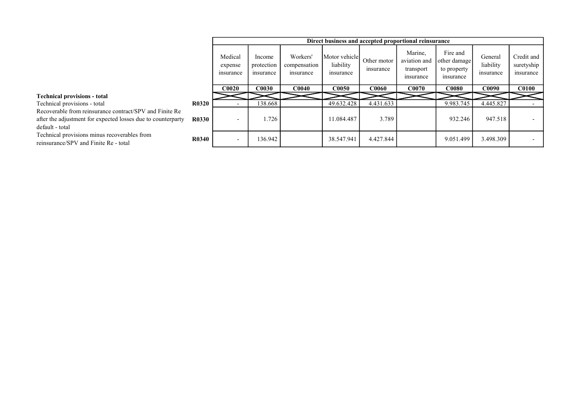|                                                                                                                                            |              |                                 |                                   |                                       |                                         |                          | Direct business and accepted proportional reinsurance |                                                      |                                   |                                       |
|--------------------------------------------------------------------------------------------------------------------------------------------|--------------|---------------------------------|-----------------------------------|---------------------------------------|-----------------------------------------|--------------------------|-------------------------------------------------------|------------------------------------------------------|-----------------------------------|---------------------------------------|
|                                                                                                                                            |              | Medical<br>expense<br>insurance | Income<br>protection<br>insurance | Workers'<br>compensation<br>insurance | Motor vehicle<br>liability<br>insurance | Other motor<br>insurance | Marine,<br>aviation and<br>transport<br>insurance     | Fire and<br>other damage<br>to property<br>insurance | General<br>liability<br>insurance | Credit and<br>suretyship<br>insurance |
|                                                                                                                                            |              | <b>C0020</b>                    | <b>COO3O</b>                      | <b>C0040</b>                          | <b>C0050</b>                            | CO060                    | C0070                                                 | <b>C0080</b>                                         | <b>C0090</b>                      | <b>C0100</b>                          |
| <b>Technical provisions - total</b>                                                                                                        |              |                                 |                                   |                                       |                                         |                          |                                                       |                                                      |                                   |                                       |
| Technical provisions - total                                                                                                               | <b>R0320</b> |                                 | 138.668                           |                                       | 49.632.428                              | 4.431.633                |                                                       | 9.983.745                                            | 4.445.827                         |                                       |
| Recoverable from reinsurance contract/SPV and Finite Re<br>after the adjustment for expected losses due to counterparty<br>default - total | <b>R0330</b> |                                 | 1.726                             |                                       | 11.084.487                              | 3.789                    |                                                       | 932.246                                              | 947.518                           |                                       |
| Technical provisions minus recoverables from<br>reinsurance/SPV and Finite Re - total                                                      | <b>R0340</b> |                                 | 136.942                           |                                       | 38.547.941                              | 4.427.844                |                                                       | 9.051.499                                            | 3.498.309                         |                                       |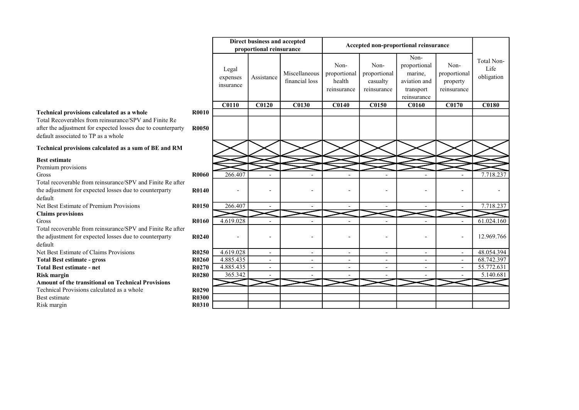# Technical provisions calculated as a whole

#### Technical provisions calculated as a sum of BE and RM

# Best estimate

|                                                                                                                                                                                                                   |                              |                                | Direct business and accepted<br>proportional reinsurance |                                 |                                               |                                                 | Accepted non-proportional reinsurance                                       |                                                 |                                  |
|-------------------------------------------------------------------------------------------------------------------------------------------------------------------------------------------------------------------|------------------------------|--------------------------------|----------------------------------------------------------|---------------------------------|-----------------------------------------------|-------------------------------------------------|-----------------------------------------------------------------------------|-------------------------------------------------|----------------------------------|
|                                                                                                                                                                                                                   |                              | Legal<br>expenses<br>insurance | Assistance                                               | Miscellaneous<br>financial loss | Non-<br>proportional<br>health<br>reinsurance | Non-<br>proportional<br>casualty<br>reinsurance | Non-<br>proportional<br>marine,<br>aviation and<br>transport<br>reinsurance | Non-<br>proportional<br>property<br>reinsurance | Total Non-<br>Life<br>obligation |
|                                                                                                                                                                                                                   |                              | <b>C0110</b>                   | C0120                                                    | <b>C0130</b>                    | <b>C0140</b>                                  | C0150                                           | <b>C0160</b>                                                                | <b>C0170</b>                                    | <b>C0180</b>                     |
| <b>Technical provisions calculated as a whole</b><br>Total Recoverables from reinsurance/SPV and Finite Re<br>after the adjustment for expected losses due to counterparty<br>default associated to TP as a whole | <b>R0010</b><br><b>R0050</b> |                                |                                                          |                                 |                                               |                                                 |                                                                             |                                                 |                                  |
| Technical provisions calculated as a sum of BE and RM                                                                                                                                                             |                              |                                |                                                          |                                 |                                               |                                                 |                                                                             |                                                 |                                  |
| <b>Best estimate</b><br>Premium provisions                                                                                                                                                                        |                              |                                |                                                          |                                 |                                               |                                                 |                                                                             |                                                 |                                  |
| Gross                                                                                                                                                                                                             | <b>R0060</b>                 | 266.407                        |                                                          |                                 |                                               |                                                 |                                                                             |                                                 | 7.718.237                        |
| Total recoverable from reinsurance/SPV and Finite Re after<br>the adjustment for expected losses due to counterparty<br>default                                                                                   | <b>R0140</b>                 |                                |                                                          |                                 |                                               |                                                 |                                                                             |                                                 |                                  |
| Net Best Estimate of Premium Provisions                                                                                                                                                                           | R0150                        | 266.407                        |                                                          |                                 | $\overline{\phantom{0}}$                      |                                                 |                                                                             | $\overline{a}$                                  | 7.718.237                        |
| <b>Claims provisions</b>                                                                                                                                                                                          |                              |                                |                                                          |                                 |                                               |                                                 |                                                                             |                                                 |                                  |
| Gross                                                                                                                                                                                                             | R0160                        | 4.619.028                      |                                                          |                                 |                                               |                                                 |                                                                             |                                                 | 61.024.160                       |
| Total recoverable from reinsurance/SPV and Finite Re after<br>the adjustment for expected losses due to counterparty<br>default                                                                                   | R0240                        |                                |                                                          |                                 |                                               |                                                 |                                                                             |                                                 | 12.969.766                       |
| Net Best Estimate of Claims Provisions                                                                                                                                                                            | R <sub>0250</sub>            | 4.619.028                      |                                                          |                                 | $\overline{\phantom{a}}$                      |                                                 |                                                                             |                                                 | 48.054.394                       |
| <b>Total Best estimate - gross</b>                                                                                                                                                                                | R0260                        | 4.885.435                      |                                                          |                                 |                                               |                                                 |                                                                             |                                                 | 68.742.397                       |
| <b>Total Best estimate - net</b>                                                                                                                                                                                  | R0270                        | 4.885.435                      |                                                          |                                 |                                               |                                                 |                                                                             |                                                 | 55.772.631                       |
| Risk margin                                                                                                                                                                                                       | R0280                        | 365.342                        |                                                          |                                 |                                               |                                                 |                                                                             |                                                 | 5.140.681                        |
| <b>Amount of the transitional on Technical Provisions</b>                                                                                                                                                         |                              |                                |                                                          |                                 |                                               |                                                 |                                                                             |                                                 |                                  |
| Technical Provisions calculated as a whole                                                                                                                                                                        | R0290                        |                                |                                                          |                                 |                                               |                                                 |                                                                             |                                                 |                                  |
| Best estimate                                                                                                                                                                                                     | <b>R0300</b>                 |                                |                                                          |                                 |                                               |                                                 |                                                                             |                                                 |                                  |
| Risk margin                                                                                                                                                                                                       | R0310                        |                                |                                                          |                                 |                                               |                                                 |                                                                             |                                                 |                                  |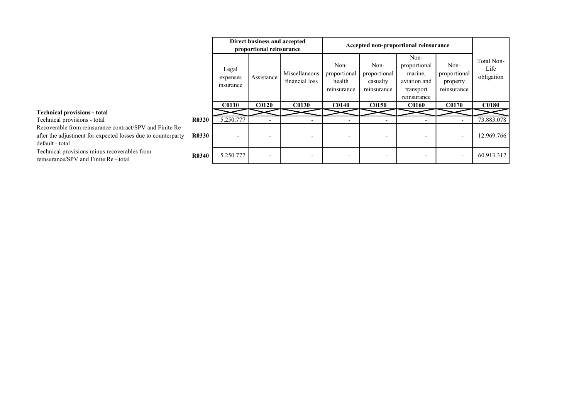|                                                                                                                                            |              |                                | Direct business and accepted<br>proportional reinsurance |                                 |                                               |                                                 | Accepted non-proportional reinsurance                                       |                                                 |                                  |
|--------------------------------------------------------------------------------------------------------------------------------------------|--------------|--------------------------------|----------------------------------------------------------|---------------------------------|-----------------------------------------------|-------------------------------------------------|-----------------------------------------------------------------------------|-------------------------------------------------|----------------------------------|
|                                                                                                                                            |              | Legal<br>expenses<br>insurance | Assistance                                               | Miscellaneous<br>financial loss | Non-<br>proportional<br>health<br>reinsurance | Non-<br>proportional<br>casualty<br>reinsurance | Non-<br>proportional<br>marine,<br>aviation and<br>transport<br>reinsurance | Non-<br>proportional<br>property<br>reinsurance | Total Non-<br>Life<br>obligation |
|                                                                                                                                            |              | <b>C0110</b>                   | <b>C0120</b>                                             | <b>C0130</b>                    | <b>C0140</b>                                  | <b>C0150</b>                                    | <b>C0160</b>                                                                | <b>C0170</b>                                    | <b>C0180</b>                     |
| <b>Technical provisions - total</b>                                                                                                        |              |                                |                                                          |                                 |                                               |                                                 |                                                                             |                                                 |                                  |
| Technical provisions - total                                                                                                               | <b>R0320</b> | 5.250.777                      |                                                          |                                 |                                               |                                                 |                                                                             |                                                 | 73.883.078                       |
| Recoverable from reinsurance contract/SPV and Finite Re<br>after the adjustment for expected losses due to counterparty<br>default - total | <b>R0330</b> | $\overline{\phantom{0}}$       |                                                          | $\overline{\phantom{0}}$        |                                               |                                                 |                                                                             | $\overline{\phantom{a}}$                        | 12.969.766                       |
| Technical provisions minus recoverables from<br>reinsurance/SPV and Finite Re - total                                                      | <b>R0340</b> | 5.250.777                      | $\overline{\phantom{a}}$                                 |                                 |                                               |                                                 |                                                                             | $\overline{\phantom{a}}$                        | 60.913.312                       |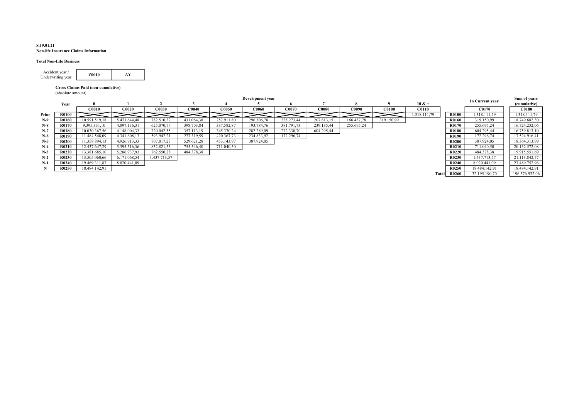#### S.19.01.21 Non-life Insurance Claims Information

#### Total Non-Life Business

| Accident vear /<br>Underwriting year | Z0010 |  |
|--------------------------------------|-------|--|
|                                      |       |  |

#### Gross Claims Paid (non-cumulative)

(absolute amount)

|       |              |               |              |              |                   |              | Development year |            |              |              |              |                  |              | In Current year | Sum of years   |
|-------|--------------|---------------|--------------|--------------|-------------------|--------------|------------------|------------|--------------|--------------|--------------|------------------|--------------|-----------------|----------------|
|       | Year         |               |              |              |                   |              |                  |            |              |              |              | $10 & +$         |              |                 | (cumulative)   |
|       |              | <b>C0010</b>  | C0020        | <b>C0030</b> | CO <sub>040</sub> | <b>C0050</b> | <b>C0060</b>     | C0070      | <b>C0080</b> | <b>C0090</b> | <b>C0100</b> | C <sub>011</sub> |              | <b>C0170</b>    | <b>C0180</b>   |
| Prior | R0100        |               |              |              |                   |              |                  |            |              |              |              | .318.111.79      | <b>R0100</b> | 1.318.111.79    | 1.318.111.79   |
| $N-9$ | R0160        | 10.591.519,18 | 5.473.644.48 | 782.510,32   | 431.064,38        | 252.911.80   | 296.306,78       | 228.273,44 | 207.813,15   | 166.487,78   | 319.150,99   |                  | R0160        | 319.150,99      | 18.749.682.30  |
| $N-8$ | R0170        | 9.395.331,10  | 4.897.136.31 | 625.070.77   | 398.703,84        | 337.582,87   | 193.784,76       | 381.791.73 | 239.135.44   | 255.695,24   |              |                  | <b>R0170</b> | 255.695.24      | 16.724.232,06  |
| $N-7$ | <b>R0180</b> | 10.030.367,56 | 1.148.004.33 | 720.042,55   | 357.113,19        | 345.370,24   | 282.289,09       | 272.330,70 | 604.295.44   |              |              |                  | R0180        | 604.295.44      | 16.759.813.10  |
| $N-6$ | R0190        | 11.484.548,09 | 4.341.608.13 | 593.942,21   | 277.319,59        | 420.367,73   | 234.833,92       | 172.296,74 |              |              |              |                  | R0190        | 172.296,74      | 17.524.916.41  |
| $N-5$ | <b>R0200</b> | 11.358.894.13 | 4.926.913.33 | 707.817.23   | 529.621.28        | 453.143.97   | 387.924.05       |            |              |              |              |                  | <b>R0200</b> | 387.924.05      | 18.364.313.99  |
| $N-4$ | R0210        | 12.437.647.29 | 5.395.516,36 | 832.821,53   | 755.546,40        | 711.040.50   |                  |            |              |              |              |                  | <b>R0210</b> | 711.040.50      | 20.132.572,08  |
| $N-3$ | R0220        | 13.381.685,10 | 5.286.937,93 | 762.550,28   | 484.378,38        |              |                  |            |              |              |              |                  | <b>R0220</b> | 484.378,38      | 19.915.551,69  |
| $N-2$ | R0230        | 13.505.060,66 | 6.171.068,54 | 1.437.713.57 |                   |              |                  |            |              |              |              |                  | R0230        | 1.437.713,57    | 21.113.842,77  |
| $N-1$ | R0240        | 19.469.311.87 | 8.020.441.09 |              |                   |              |                  |            |              |              |              |                  | <b>R0240</b> | 8.020.441.09    | 27.489.752.96  |
|       | R0250        | 18.484.142,91 |              |              |                   |              |                  |            |              |              |              |                  | R0250        | 18.484.142.91   | 18.484.142,91  |
|       |              |               |              |              |                   |              |                  |            |              |              |              |                  | Total R0260  | 32.195.190.70   | 196.576.932,06 |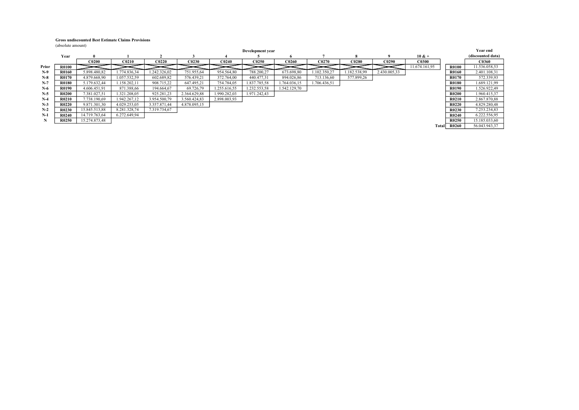#### Gross undiscounted Best Estimate Claims Provisions

(absolute amount)

|       | (absolute amount) |               |              |              |              |              |                  |              |              |              |              |               |              |                   |
|-------|-------------------|---------------|--------------|--------------|--------------|--------------|------------------|--------------|--------------|--------------|--------------|---------------|--------------|-------------------|
|       |                   |               |              |              |              |              | Development year |              |              |              |              |               |              | Year end          |
|       | Year              |               |              |              |              |              |                  |              |              |              |              | $10 & +$      |              | (discounted data) |
|       |                   | <b>C0200</b>  | C0210        | <b>C0220</b> | <b>C0230</b> | C0240        | <b>C0250</b>     | C0260        | CO270        | <b>C0280</b> | C0290        | <b>C0300</b>  |              | <b>C0360</b>      |
| Prior | <b>R0100</b>      |               |              |              |              |              |                  |              |              |              |              | 11.674.161,95 | R0100        | 11.536.058,53     |
| $N-9$ | R0160             | 5.898.480.82  | 1.774.836.34 | 1.242.326,02 | 751.955,64   | 954.564.80   | 788.200,27       | 673.698,80   | 1.102.350,27 | 1.182.538,99 | 2.430.005,33 |               | R0160        | 2.401.108,31      |
| $N-8$ | R0170             | 4.879.668,90  | 1.057.532,59 | 602.689,82   | 576.439,21   | 372.764,00   | 440.477,31       | 894.026,86   | 713.136,60   | 577.899,26   |              |               | R0170        | 572.339,93        |
| $N-7$ | <b>R0180</b>      | 5.179.632,44  | 1.158.202,11 | 908.715,22   | 647.495,21   | 754.784,05   | 1.837.785,58     | 1.764.036,15 | 1.706.436,51 |              |              |               | <b>R0180</b> | 1.689.121,99      |
| $N-6$ | <b>R0190</b>      | 4.606.451.91  | 871.388.66   | 194.664,67   | 69.726,79    | 1.255.616,55 | 1.232.553,58     | 1.542.129,70 |              |              |              |               | R0190        | 1.526.922,49      |
| $N-5$ | <b>R0200</b>      | 7.381.027.51  | 1.321.208,05 | 925.281,23   | 2.364.629.88 | 1.990.282,03 | 1.971.242,43     |              |              |              |              |               | R0200        | 1.960.415,37      |
| $N-4$ | <b>R0210</b>      | 7.738.190,69  | 1.942.267,12 | 3.954.500,79 | 3.560.424.83 | 2.898.003,93 |                  |              |              |              |              |               | R0210        | 2.867.870,88      |
| $N-3$ | R0220             | 9.871.301,30  | 4.029.253,05 | 3.357.871,44 | 4.878.095,15 |              |                  |              |              |              |              |               | R0220        | 4.829.280,48      |
| $N-2$ | R0230             | 15.845.513,88 | 8.281.328,74 | 7.319.734,67 |              |              |                  |              |              |              |              |               | R0230        | 7.253.234,83      |
| $N-1$ | R0240             | 14.719.763,64 | 6.272.649.94 |              |              |              |                  |              |              |              |              |               | R0240        | 6.222.556,95      |
| N     | <b>R0250</b>      | 15.274.873,48 |              |              |              |              |                  |              |              |              |              |               | R0250        | 15.185.033,60     |
|       |                   |               |              |              |              |              |                  |              |              |              |              | Totall        | <b>R0260</b> | 56.043.943,37     |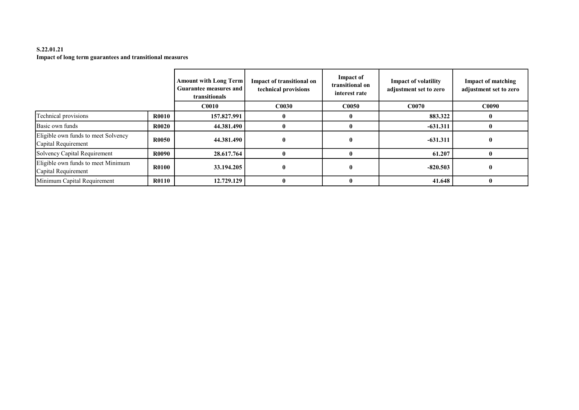# S.22.01.21 Impact of long term guarantees and transitional measures

|                                                            |              | <b>Amount with Long Term</b><br>Guarantee measures and<br>transitionals | Impact of transitional on<br>technical provisions | Impact of<br>transitional on<br>interest rate | <b>Impact of volatility</b><br>adjustment set to zero | <b>Impact of matching</b><br>adjustment set to zero |
|------------------------------------------------------------|--------------|-------------------------------------------------------------------------|---------------------------------------------------|-----------------------------------------------|-------------------------------------------------------|-----------------------------------------------------|
|                                                            |              | <b>C0010</b>                                                            | C <sub>0030</sub>                                 | <b>C0050</b>                                  | C0070                                                 | <b>C0090</b>                                        |
| Technical provisions                                       | <b>R0010</b> | 157.827.991                                                             |                                                   |                                               | 883.322                                               |                                                     |
| Basic own funds                                            | <b>R0020</b> | 44.381.490                                                              |                                                   |                                               | $-631.311$                                            |                                                     |
| Eligible own funds to meet Solvency<br>Capital Requirement | <b>R0050</b> | 44.381.490                                                              | $\mathbf{0}$                                      | $\mathbf{0}$                                  | $-631.311$                                            |                                                     |
| Solvency Capital Requirement                               | <b>R0090</b> | 28.617.764                                                              |                                                   |                                               | 61.207                                                |                                                     |
| Eligible own funds to meet Minimum<br>Capital Requirement  | <b>R0100</b> | 33.194.205                                                              | $\mathbf{0}$                                      | $\mathbf{0}$                                  | $-820.503$                                            |                                                     |
| Minimum Capital Requirement                                | <b>R0110</b> | 12.729.129                                                              |                                                   | $\mathbf{0}$                                  | 41.648                                                |                                                     |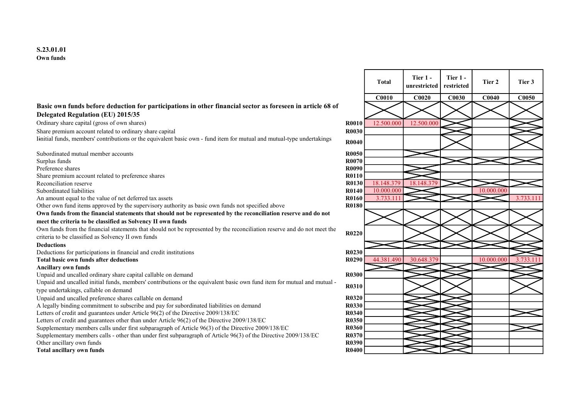## Basic own funds before deduction for participations in other financial sector as foreseen in article 68 of Delegated Regulation (EU) 2015/35

Ordinary share capital (gross of own shares) R0010 12.500.000 12.500.000

Share premium account related to ordinary share capital **R0030 R0030** 

Iinitial funds, members' contributions or the equivalent basic own - fund item for mutual and mutual-type undertakings R0040

Subordinated mutual member accounts **R0050**<br>Surplus funds **R0070** Surplus funds **R0070** Preference shares **R0090** Share premium account related to preference shares R0110 Reconciliation reserve R0130 18.148.379 18.148<br>Subordinated liabilities R0140 10.000.000 Subordinated liabilities R0140 10.000.000 10.000.000 An amount equal to the value of net deferred tax assets **R0160** 3.733.111 3.733.111 3.733.111 Other own fund items approved by the supervisory authority as basic own funds not specified above R0180 Own funds from the financial statements that should not be represented by the reconciliation reserve and do not meet the criteria to be classified as Solvency II own funds Own funds from the financial statements that should not be represented by the reconciliation reserve and do not meet the Own funds from the financial statements that should not be represented by the reconciliation reserve and do not meet the<br>criteria to be classified as Solvency II own funds Deductions Deductions for participations in financial and credit institutions R0230

#### Ancillary own funds

Unpaid and uncalled ordinary share capital callable on demand R0300 R0300

Unpaid and uncalled initial funds, members' contributions or the equivalent basic own fund item for mutual and mutual type undertakings, callable on demand<br>type undertakings, callable on demand

Unpaid and uncalled preference shares callable on demand **R0320 R0320** 

A legally binding commitment to subscribe and pay for subordinated liabilities on demand<br>Letters of credit and guarantees under Article 96(2) of the Directive 2009/138/EC **R0340** 

Letters of credit and guarantees under Article  $96(2)$  of the Directive 2009/138/EC

Letters of credit and guarantees other than under Article 96(2) of the Directive 2009/138/EC R0350

Supplementary members calls under first subparagraph of Article 96(3) of the Directive 2009/138/EC R0360

Supplementary members calls - other than under first subparagraph of Article 96(3) of the Directive 2009/138/EC R0370 Other ancillary own funds **R0390**<br> **Other ancillary own funds R0390**<br> **Contained ancillary own funds R0400** 

Total ancillary own funds

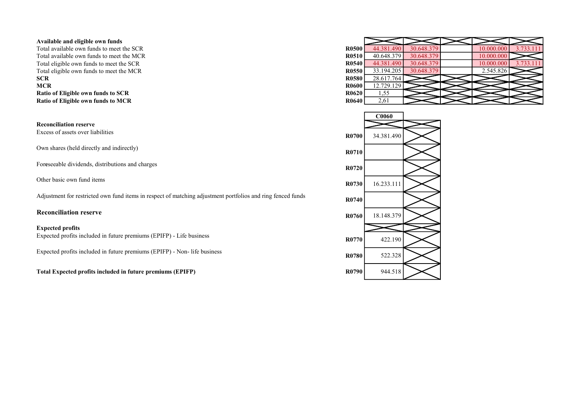#### Available and eligible own funds

Total available own funds to meet the SCR Total available own funds to meet the MCR Total eligible own funds to meet the SCR Total eligible own funds to meet the MCR<br>SCR **SCR** R0580 28.617.764 **MCR** R0600  $\boxed{12.729.129}$ Ratio of Eligible own funds to SCR Ratio of Eligible own funds to MCR

Reconciliation reserve

Own shares (held directly and indirectly) R0710

Foreseeable dividends, distributions and charges R0720

Adjustment for restricted own fund items in respect of matching adjustment portfolios and ring fenced funds R0740

#### Expected profits

Expected profits included in future premiums (EPIFP) - Life business R0770 422.190

Expected profits included in future premiums (EPIFP) - Non- life business

Total Expected profits included in future premiums (EPIFP) R0790 R0790 R0790

| <b>R0500</b> | 44.381.490 | 30.648.379 | 10.000.000 | 3.733.111 |
|--------------|------------|------------|------------|-----------|
| R0510        | 40.648.379 | 30.648.379 | 10.000.000 |           |
| R0540        | 44.381.490 | 30.648.379 | 10.000.000 | 3.733.111 |
| R0550        | 33.194.205 | 30.648.379 | 2.545.826  |           |
| R0580        | 28.617.764 |            |            |           |
| R0600        | 12.729.129 |            |            |           |
| R0620        | 1,55       |            |            |           |
| R0640        | 2,61       |            |            |           |

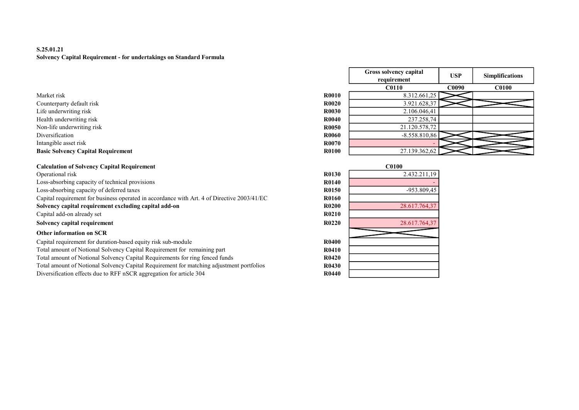# S.25.01.21 Solvency Capital Requirement - for undertakings on Standard Formula

- Counterparty default risk R0.028.328,378.328,379.921.628,379.628,379.628,379.628,379.628,379.628,379.628,379.628,379.628,379.628,379.628,379.628,379.628,379.628,379.628,379.628,379.628,379.628,379.628,379.628,379.628,379.6 Life underwriting risk RO
- Health underwriting risk R<sup>0</sup>
- Non-life underwriting risk R<sup>0</sup>
- 
- Intangible asset risk R0070 R0070 R0070 R0070 R0070 R0070 R0070 R0070 R0070 R0070 R0070 R0070 R0070 R0070 R0070 R0070 R0070 R0070 R0070 R0070 R0070 R0070 R0070 R0070 R0070 -

#### Basic Solvency Capital Requirement R0100 27.139.362,62

| <b>Calculation of Solvency Capital Requirement</b><br>and a second company of the second company of the second company of the second company of the second company of | ${\small \subset}0100$ |
|-----------------------------------------------------------------------------------------------------------------------------------------------------------------------|------------------------|
|                                                                                                                                                                       |                        |

Operational risk 2.432.211,19 Loss-absorbing capacity of technical provisions Loss-absorbing capacity of deferred taxes Capital requirement for business operated in accordance with Art. 4 of Directive 2003/41/EC Solvency capital requirement excluding capital add-on Capital add-on already set Solvency capital requirement

# Other information on SCR

Capital requirement for duration-based equity risk sub-module Total amount of Notional Solvency Capital Requirement for remaining part Total amount of Notional Solvency Capital Requirements for ring fenced funds Total amount of Notional Solvency Capital Requirement for matching adjustment portfolios Diversification effects due to RFF nSCR aggregation for article 304

|                                           |              | Gross solvency capital<br>requirement | <b>USP</b>   | <b>Simplifications</b> |
|-------------------------------------------|--------------|---------------------------------------|--------------|------------------------|
|                                           |              | <b>C0110</b>                          | <b>C0090</b> | <b>C0100</b>           |
| Market risk                               | <b>R0010</b> | 8.312.661,25                          |              |                        |
| Counterparty default risk                 | <b>R0020</b> | 3.921.628,37                          |              |                        |
| Life underwriting risk                    | <b>R0030</b> | 2.106.046,41                          |              |                        |
| Health underwriting risk                  | R0040        | 237.258,74                            |              |                        |
| Non-life underwriting risk                | <b>R0050</b> | 21.120.578,72                         |              |                        |
| Diversification                           | <b>R0060</b> | $-8.558.810,86$                       |              |                        |
| Intangible asset risk                     | <b>R0070</b> |                                       |              |                        |
| <b>Basic Solvency Capital Requirement</b> | <b>R0100</b> | 27.139.362,62                         |              |                        |

|              | <b>C0100</b>  |
|--------------|---------------|
| <b>R0130</b> | 2.432.211,19  |
| R0140        |               |
| R0150        | -953.809,45   |
| R0160        |               |
| R0200        | 28.617.764,37 |
| R0210        |               |
| <b>R0220</b> | 28.617.764,37 |
|              |               |
| R0400        |               |
| <b>R0410</b> |               |
| R0420        |               |
| R0430        |               |
| R0440        |               |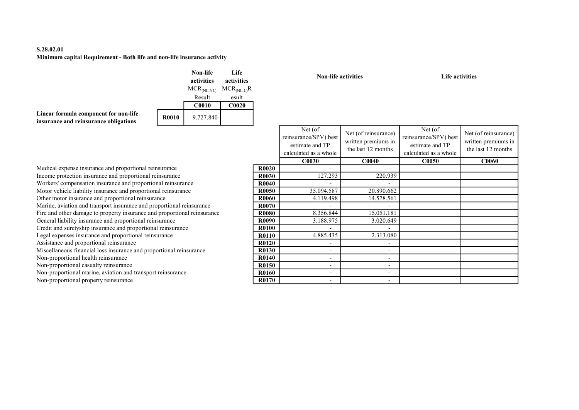# S.28.02.01 Minimum capital Requirement - Both life and non-life insurance activity

|                                                                                |              | Non-life<br>activities | Life<br>activities |
|--------------------------------------------------------------------------------|--------------|------------------------|--------------------|
|                                                                                |              | $MCR_{(NL, NL)}$       | $MCR_{(NL,L)}R$    |
|                                                                                |              | Result                 | esult              |
|                                                                                |              | <b>C0010</b>           | C <sub>0020</sub>  |
| Linear formula component for non-life<br>insurance and reinsurance obligations | <b>R0010</b> | 9.727.840              |                    |

Non-life activities and Life activities and Life activities

|              | Net (of<br>reinsurance/SPV) best<br>estimate and TP<br>calculated as a whole | Net (of reinsurance)<br>written premiums in<br>the last 12 months | Net (of<br>reinsurance/SPV) best<br>estimate and TP<br>calculated as a whole | Net (of reinsurance)<br>written premiums in<br>the last 12 months |
|--------------|------------------------------------------------------------------------------|-------------------------------------------------------------------|------------------------------------------------------------------------------|-------------------------------------------------------------------|
|              | <b>C0030</b>                                                                 | C <sub>0040</sub>                                                 | <b>C0050</b>                                                                 | <b>C0060</b>                                                      |
| <b>R0020</b> |                                                                              |                                                                   |                                                                              |                                                                   |
| <b>R0030</b> | 127.293                                                                      | 220.939                                                           |                                                                              |                                                                   |
| R0040        |                                                                              |                                                                   |                                                                              |                                                                   |
| R0050        | 35.094.587                                                                   | 20.890.662                                                        |                                                                              |                                                                   |
| R0060        | 4.119.498                                                                    | 14.578.561                                                        |                                                                              |                                                                   |
| R0070        |                                                                              |                                                                   |                                                                              |                                                                   |
| <b>R0080</b> | 8.356.844                                                                    | 15.051.181                                                        |                                                                              |                                                                   |
| R0090        | 3.188.975                                                                    | 3.020.649                                                         |                                                                              |                                                                   |
| R0100        |                                                                              |                                                                   |                                                                              |                                                                   |
| <b>R0110</b> | 4.885.435                                                                    | 2.313.080                                                         |                                                                              |                                                                   |
| R0120        |                                                                              |                                                                   |                                                                              |                                                                   |
| R0130        |                                                                              |                                                                   |                                                                              |                                                                   |
| R0140        |                                                                              |                                                                   |                                                                              |                                                                   |
| R0150        |                                                                              |                                                                   |                                                                              |                                                                   |
| R0160        |                                                                              |                                                                   |                                                                              |                                                                   |
| R0170        |                                                                              |                                                                   |                                                                              |                                                                   |

Medical expense insurance and proportional reinsurance Income protection insurance and proportional reinsurance Workers' compensation insurance and proportional reinsurance Motor vehicle liability insurance and proportional reinsurance Other motor insurance and proportional reinsurance Marine, aviation and transport insurance and proportional reinsurance Fire and other damage to property insurance and proportional reinsurance General liability insurance and proportional reinsurance Credit and suretyship insurance and proportional reinsurance Legal expenses insurance and proportional reinsurance Assistance and proportional reinsurance Miscellaneous financial loss insurance and proportional reinsurance Non-proportional health reinsurance Non-proportional casualty reinsurance Non-proportional marine, aviation and transport reinsurance

Non-proportional property reinsurance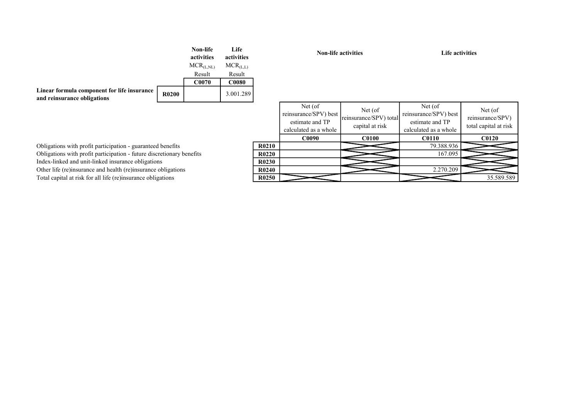|                                                                            |              | Non-life<br>activities | Life<br>activities |
|----------------------------------------------------------------------------|--------------|------------------------|--------------------|
|                                                                            |              | $MCR_{(L, NL)}$        | $MCR_{(L,L)}$      |
|                                                                            |              | Result                 | Result             |
|                                                                            |              | C0070                  | <b>C0080</b>       |
| Linear formula component for life insurance<br>and reinsurance obligations | <b>R0200</b> |                        | 3.001.289          |

Non-life activities Life activities

|                                | Net (of<br>reinsurance/SPV) best<br>estimate and TP<br>calculated as a whole | Net (of)<br>reinsurance/SPV) total<br>capital at risk | Net (of)<br>reinsurance/SPV) best<br>estimate and TP<br>calculated as a whole | Net (of)<br>reinsurance/SPV)<br>total capital at risk |
|--------------------------------|------------------------------------------------------------------------------|-------------------------------------------------------|-------------------------------------------------------------------------------|-------------------------------------------------------|
|                                | <b>C0090</b>                                                                 | <b>C0100</b>                                          | <b>C0110</b>                                                                  | <b>C0120</b>                                          |
| R0210                          |                                                                              |                                                       | 79.388.936                                                                    |                                                       |
| R <sub>0</sub> 22 <sub>0</sub> |                                                                              |                                                       | 167.095                                                                       |                                                       |
| R0230                          |                                                                              |                                                       |                                                                               |                                                       |
| R <sub>0240</sub>              |                                                                              |                                                       | 2.270.209                                                                     |                                                       |
| R <sub>0250</sub>              |                                                                              |                                                       |                                                                               | 35.589.589                                            |

Obligations with profit participation - guaranteed benefits Obligations with profit participation - future discretionary benefits Index-linked and unit-linked insurance obligations Other life (re)insurance and health (re)insurance obligations Total capital at risk for all life (re)insurance obligations